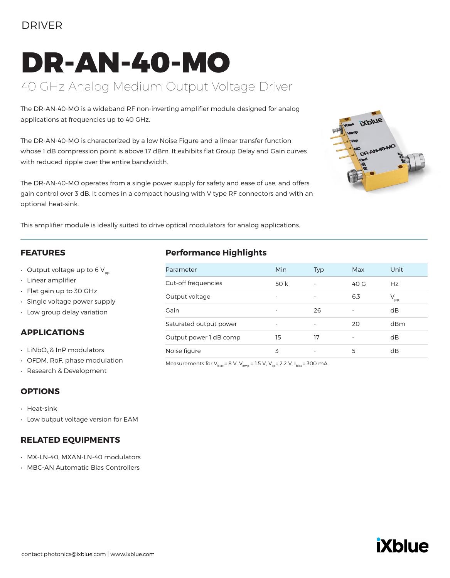### DRIVER

# DR-AN-40-MO 40 GHz Analog Medium Output Voltage Driver

The DR-AN-40-MO is a wideband RF non-inverting amplifier module designed for analog applications at frequencies up to 40 GHz.

The DR-AN-40-MO is characterized by a low Noise Figure and a linear transfer function whose 1 dB compression point is above 17 dBm. It exhibits flat Group Delay and Gain curves with reduced ripple over the entire bandwidth.

The DR-AN-40-MO operates from a single power supply for safety and ease of use, and offers gain control over 3 dB. It comes in a compact housing with V type RF connectors and with an optional heat-sink.



This amplifier module is ideally suited to drive optical modulators for analog applications.

#### **FEATURES**

- Output voltage up to 6  $V_{\text{pp}}$
- Linear amplifier
- Flat gain up to 30 GHz
- Single voltage power supply
- Low group delay variation

### **APPLICATIONS**

- $\cdot$  LiNbO<sub>z</sub> & InP modulators
- OFDM, RoF, phase modulation
- Research & Development

#### **OPTIONS**

• Heat-sink

• Low output voltage version for EAM

#### **RELATED EQUIPMENTS**

- MX-LN-40, MXAN-LN-40 modulators
- MBC-AN Automatic Bias Controllers

### **Performance Highlights**

| Parameter              | <b>Min</b> | <b>Typ</b>               | Max  | Unit            |
|------------------------|------------|--------------------------|------|-----------------|
| Cut-off frequencies    | 50 k       | $\overline{\phantom{0}}$ | 40 G | Hz              |
| Output voltage         |            | ٠                        | 6.3  | $V_{\text{pp}}$ |
| Gain                   |            | 26                       |      | dB              |
| Saturated output power |            |                          | 20   | dBm             |
| Output power 1 dB comp | 15         | 17                       |      | dB              |
| Noise figure           | 3          |                          | 5    | dB              |

Measurements for  $V_{bias} = 8 V$ ,  $V_{amp} = 1.5 V$ ,  $V_{xo} = 2.2 V$ ,  $I_{bias} = 300 mA$ 

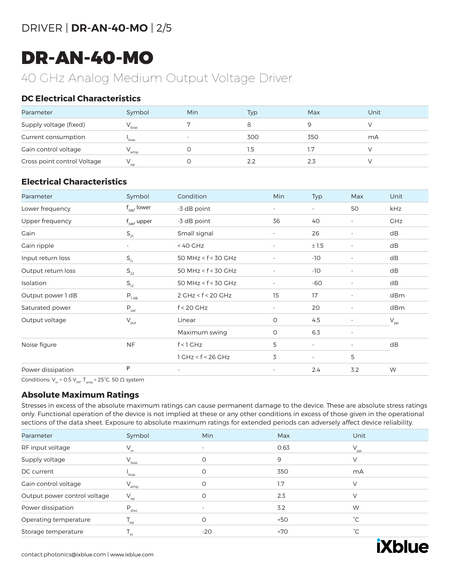### DRIVER | **DR-AN-40-MO** | 2/5

## DR-AN-40-MO

## 40 GHz Analog Medium Output Voltage Driver

### **DC Electrical Characteristics**

| Parameter                   | Symbol            | Min | Typ | Max | Unit |
|-----------------------------|-------------------|-----|-----|-----|------|
| Supply voltage (fixed)      | V <sub>bias</sub> |     |     |     |      |
| Current consumption         | bias <sup>'</sup> |     | 300 | 350 | mA   |
| Gain control voltage        | amp               |     | ۱.5 |     |      |
| Cross point control Voltage | $V_{xp}$          |     | 2.2 | 2.3 |      |

### **Electrical Characteristics**

| Parameter          | Symbol                      | Condition                | Min                      | <b>Typ</b>               | Max                      | Unit            |
|--------------------|-----------------------------|--------------------------|--------------------------|--------------------------|--------------------------|-----------------|
| Lower frequency    | $f_{adv}$ lower             | -3 dB point              | -                        | $\sim$                   | 50                       | kHz             |
| Upper frequency    | $f_{\rm 3db'}$ upper        | -3 dB point              | 36                       | 40                       | $\overline{\phantom{a}}$ | <b>GHz</b>      |
| Gain               | $S_{21}$                    | Small signal             | $\overline{\phantom{a}}$ | 26                       | $\overline{\phantom{a}}$ | dB              |
| Gain ripple        | $\overline{\phantom{0}}$    | $< 40$ GHz               | $\overline{\phantom{a}}$ | ±1.5                     | $\overline{\phantom{a}}$ | dB              |
| Input return loss  | $S_{11}$                    | 50 MHz < f < 30 GHz      |                          | -10                      | $\overline{\phantom{a}}$ | dB              |
| Output return loss | $\mathsf{S}_{\mathsf{22}}$  | 50 MHz < $f$ < 30 GHz    | ÷,                       | $-10$                    | $\overline{\phantom{a}}$ | dB              |
| Isolation          | $S_{12}$                    | 50 MHz < $f$ < 30 GHz    |                          | $-60$                    | $\overline{\phantom{a}}$ | dB              |
| Output power 1 dB  | $P_{1 dB}$                  | 2 GHz < f < 20 GHz       | 15                       | 17                       | $\overline{\phantom{a}}$ | dBm             |
| Saturated power    | $P_{\text{sat}}$            | $f < 20$ GHz             | $\overline{\phantom{m}}$ | 20                       | $\overline{\phantom{a}}$ | dBm             |
| Output voltage     | $\mathsf{V}_{\mathsf{out}}$ | Linear                   | O                        | 4.5                      | $\overline{\phantom{a}}$ | $V_{\text{pp}}$ |
|                    |                             | Maximum swing            | O                        | 6.3                      | $\overline{\phantom{a}}$ |                 |
| Noise figure       | <b>NF</b>                   | $f < 1$ GHz              | 5                        | $\overline{\phantom{a}}$ | $\overline{\phantom{a}}$ | dB              |
|                    |                             | $1$ GHz < $f$ < 26 GHz   | 3                        | $\sim$                   | 5                        |                 |
| Power dissipation  | P                           | $\overline{\phantom{a}}$ | $\overline{\phantom{a}}$ | 2.4                      | 3.2                      | W               |

Conditions:  $V_{in}$  = 0.5  $V_{pp'}$ , T<sub>amb</sub> = 25°C, 50  $\Omega$  system

### **Absolute Maximum Ratings**

Stresses in excess of the absolute maximum ratings can cause permanent damage to the device. These are absolute stress ratings only. Functional operation of the device is not implied at these or any other conditions in excess of those given in the operational sections of the data sheet. Exposure to absolute maximum ratings for extended periods can adversely affect device reliability.

| Parameter                    | Symbol                     | Min      | Max   | Unit            |
|------------------------------|----------------------------|----------|-------|-----------------|
| RF input voltage             | $V_{in}$                   | ٠        | 0.63  | $V_{\text{pp}}$ |
| Supply voltage               | $V_{bias}$                 | $\Omega$ | 9     | V               |
| DC current                   | l<br>bias                  | O        | 350   | mA              |
| Gain control voltage         | $V_{amp}$                  | O        | 1.7   | $\vee$          |
| Output power control voltage | $V_{xp}$                   | O        | 2.3   | V               |
| Power dissipation            | $P_{\text{diss}}$          | ۰        | 3.2   | W               |
| Operating temperature        | $\mathsf{T}_{\mathsf{op}}$ | $\Omega$ | $+50$ | $^{\circ}$ C    |
| Storage temperature          | 'st                        | $-20$    | $+70$ | $^{\circ}C$     |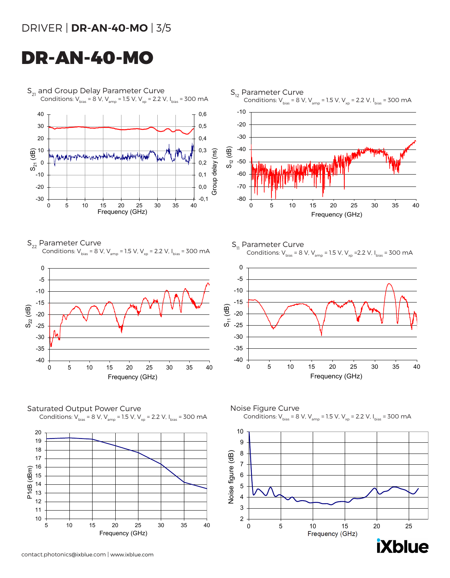### DRIVER | **DR-AN-40-MO** | 3/5

## DR-AN-40-MO



-40 -35 -30

 $\overline{\omega}$  -25 -20

S11 (dB)



Saturated Output Power Curve Conditions:  $V_{bias} = 8 V$ ,  $V_{amp} = 1.5 V$ ,  $V_{xo} = 2.2 V$ ,  $I_{bias} = 300 mA$ 



contact.photonics@ixblue.com | www.ixblue.com



0 5 10 15 20 25 30 35 40

Frequency (GHz)

Conditions:  $V_{bias} = 8 V$ ,  $V_{amp} = 1.5 V$ ,  $V_{xo} = 2.2 V$ ,  $I_{bias} = 300 mA$ 

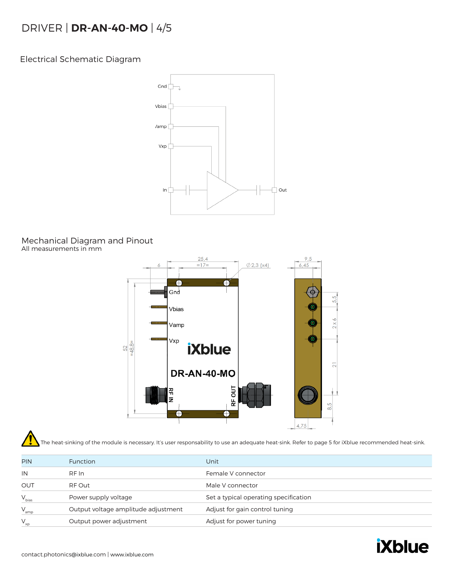### DRIVER | **DR-AN-40-MO** | 4/5

Electrical Schematic Diagram



#### Mechanical Diagram and Pinout All measurements in mm



The heat-sinking of the module is necessary. It's user responsability to use an adequate heat-sink. Refer to page 5 for iXblue recommended heat-sink.

| <b>PIN</b> | <b>Function</b>                     | Unit                                  |
|------------|-------------------------------------|---------------------------------------|
| IN         | RF In                               | Female V connector                    |
| OUT        | RF Out                              | Male V connector                      |
| $V_{bias}$ | Power supply voltage                | Set a typical operating specification |
| $V_{amp}$  | Output voltage amplitude adjustment | Adjust for gain control tuning        |
| $V_{xp}$   | Output power adjustment             | Adjust for power tuning               |